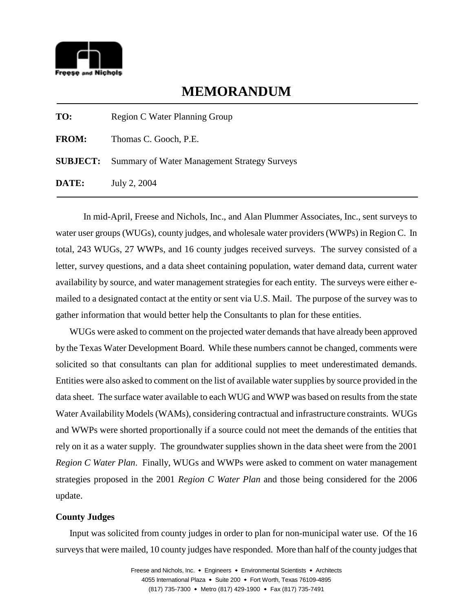

## **MEMORANDUM**

| TO:          | Region C Water Planning Group                                |
|--------------|--------------------------------------------------------------|
| <b>FROM:</b> | Thomas C. Gooch, P.E.                                        |
|              | <b>SUBJECT:</b> Summary of Water Management Strategy Surveys |
| DATE:        | July 2, 2004                                                 |

In mid-April, Freese and Nichols, Inc., and Alan Plummer Associates, Inc., sent surveys to water user groups (WUGs), county judges, and wholesale water providers (WWPs) in Region C. In total, 243 WUGs, 27 WWPs, and 16 county judges received surveys. The survey consisted of a letter, survey questions, and a data sheet containing population, water demand data, current water availability by source, and water management strategies for each entity. The surveys were either emailed to a designated contact at the entity or sent via U.S. Mail. The purpose of the survey was to gather information that would better help the Consultants to plan for these entities.

WUGs were asked to comment on the projected water demands that have already been approved by the Texas Water Development Board. While these numbers cannot be changed, comments were solicited so that consultants can plan for additional supplies to meet underestimated demands. Entities were also asked to comment on the list of available water supplies by source provided in the data sheet. The surface water available to each WUG and WWP was based on results from the state Water Availability Models (WAMs), considering contractual and infrastructure constraints. WUGs and WWPs were shorted proportionally if a source could not meet the demands of the entities that rely on it as a water supply. The groundwater supplies shown in the data sheet were from the 2001 *Region C Water Plan*. Finally, WUGs and WWPs were asked to comment on water management strategies proposed in the 2001 *Region C Water Plan* and those being considered for the 2006 update.

## **County Judges**

Input was solicited from county judges in order to plan for non-municipal water use. Of the 16 surveys that were mailed, 10 county judges have responded. More than half of the county judges that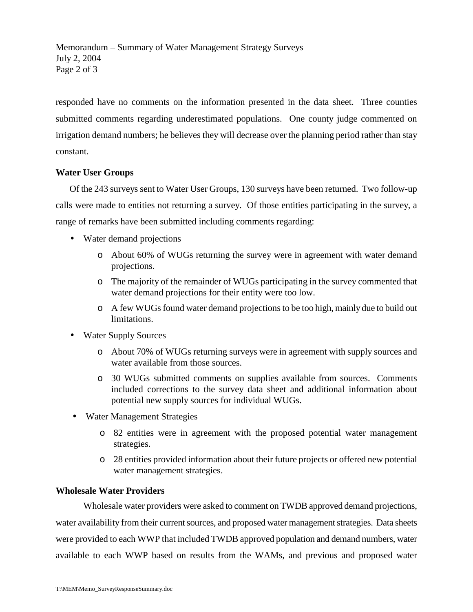Memorandum – Summary of Water Management Strategy Surveys July 2, 2004 Page 2 of 3

responded have no comments on the information presented in the data sheet. Three counties submitted comments regarding underestimated populations. One county judge commented on irrigation demand numbers; he believes they will decrease over the planning period rather than stay constant.

## **Water User Groups**

Of the 243 surveys sent to Water User Groups, 130 surveys have been returned. Two follow-up calls were made to entities not returning a survey. Of those entities participating in the survey, a range of remarks have been submitted including comments regarding:

- Water demand projections
	- o About 60% of WUGs returning the survey were in agreement with water demand projections.
	- o The majority of the remainder of WUGs participating in the survey commented that water demand projections for their entity were too low.
	- o A few WUGs found water demand projections to be too high, mainly due to build out limitations.
- Water Supply Sources
	- o About 70% of WUGs returning surveys were in agreement with supply sources and water available from those sources.
	- o 30 WUGs submitted comments on supplies available from sources. Comments included corrections to the survey data sheet and additional information about potential new supply sources for individual WUGs.
- Water Management Strategies
	- o 82 entities were in agreement with the proposed potential water management strategies.
	- o 28 entities provided information about their future projects or offered new potential water management strategies.

## **Wholesale Water Providers**

Wholesale water providers were asked to comment on TWDB approved demand projections, water availability from their current sources, and proposed water management strategies. Data sheets were provided to each WWP that included TWDB approved population and demand numbers, water available to each WWP based on results from the WAMs, and previous and proposed water